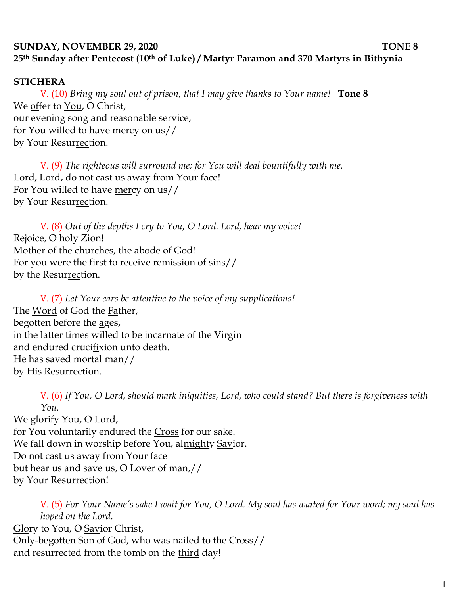## **SUNDAY, NOVEMBER 29, 2020 TONE 8 25th Sunday after Pentecost (10th of Luke) / Martyr Paramon and 370 Martyrs in Bithynia**

## **STICHERA**

V. (10) *Bring my soul out of prison, that I may give thanks to Your name!* **Tone 8** We offer to You, O Christ, our evening song and reasonable service, for You willed to have mercy on us// by Your Resurrection.

V. (9) *The righteous will surround me; for You will deal bountifully with me.*  Lord, Lord, do not cast us away from Your face! For You willed to have mercy on us// by Your Resurrection.

V. (8) *Out of the depths I cry to You, O Lord. Lord, hear my voice!*  Rejoice, O holy Zion! Mother of the churches, the abode of God! For you were the first to receive remission of sins// by the Resurrection.

V. (7) *Let Your ears be attentive to the voice of my supplications!* The Word of God the Father, begotten before the ages, in the latter times willed to be incarnate of the Virgin and endured crucifixion unto death. He has saved mortal man// by His Resurrection.

V. (6) *If You, O Lord, should mark iniquities, Lord, who could stand? But there is forgiveness with You.*  We glorify You, O Lord, for You voluntarily endured the Cross for our sake. We fall down in worship before You, almighty Savior. Do not cast us away from Your face

but hear us and save us, O Lover of man,//

by Your Resurrection!

V. (5) *For Your Name's sake I wait for You, O Lord. My soul has waited for Your word; my soul has hoped on the Lord.*  Glory to You, O Savior Christ, Only-begotten Son of God, who was nailed to the Cross// and resurrected from the tomb on the <u>third</u> day!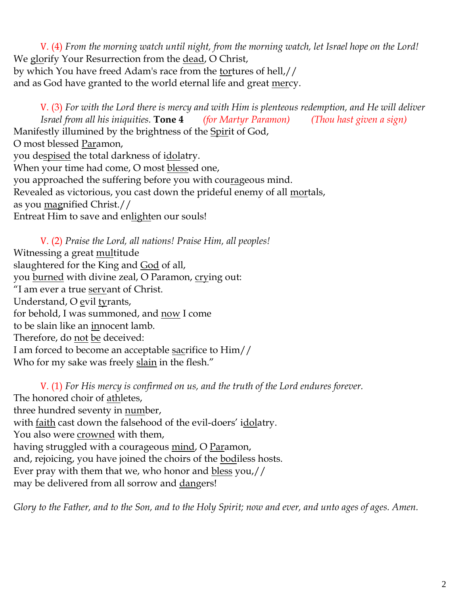V. (4) *From the morning watch until night, from the morning watch, let Israel hope on the Lord!*  We glorify Your Resurrection from the dead, O Christ, by which You have freed Adam's race from the tortures of hell,// and as God have granted to the world eternal life and great mercy.

V. (3) *For with the Lord there is mercy and with Him is plenteous redemption, and He will deliver Israel from all his iniquities.* **Tone 4** *(for Martyr Paramon) (Thou hast given a sign)* Manifestly illumined by the brightness of the Spirit of God, O most blessed Paramon, you despised the total darkness of idolatry. When your time had come, O most blessed one, you approached the suffering before you with courageous mind. Revealed as victorious, you cast down the prideful enemy of all mortals, as you magnified Christ.// Entreat Him to save and enlighten our souls!

V. (2) *Praise the Lord, all nations! Praise Him, all peoples!* Witnessing a great multitude slaughtered for the King and God of all, you burned with divine zeal, O Paramon, crying out: "I am ever a true servant of Christ. Understand, O evil tyrants, for behold, I was summoned, and now I come to be slain like an innocent lamb. Therefore, do not be deceived: I am forced to become an acceptable sacrifice to Him// Who for my sake was freely slain in the flesh."

V. (1) *For His mercy is confirmed on us, and the truth of the Lord endures forever.*  The honored choir of athletes, three hundred seventy in number, with faith cast down the falsehood of the evil-doers' idolatry. You also were crowned with them, having struggled with a courageous mind, O Paramon, and, rejoicing, you have joined the choirs of the bodiless hosts. Ever pray with them that we, who honor and bless you,// may be delivered from all sorrow and dangers!

*Glory to the Father, and to the Son, and to the Holy Spirit; now and ever, and unto ages of ages. Amen.*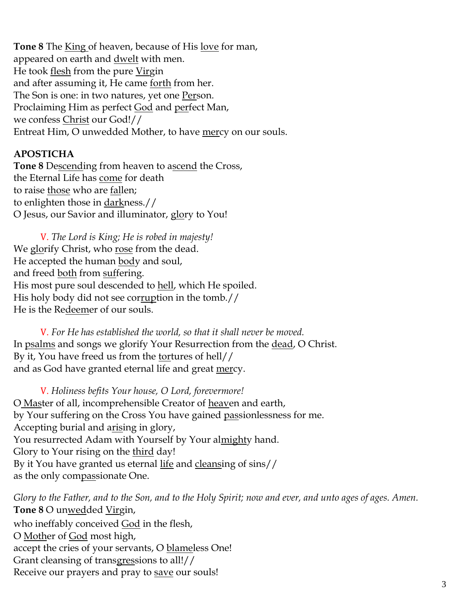**Tone 8** The King of heaven, because of His love for man, appeared on earth and <u>dwelt</u> with men. He took flesh from the pure Virgin and after assuming it, He came forth from her. The Son is one: in two natures, yet one Person. Proclaiming Him as perfect God and perfect Man, we confess Christ our God!// Entreat Him, O unwedded Mother, to have mercy on our souls.

## **APOSTICHA**

**Tone 8** Descending from heaven to ascend the Cross, the Eternal Life has come for death to raise those who are fallen; to enlighten those in darkness.// O Jesus, our Savior and illuminator, glory to You!

V. *The Lord is King; He is robed in majesty!*  We glorify Christ, who rose from the dead. He accepted the human body and soul, and freed both from suffering. His most pure soul descended to hell, which He spoiled. His holy body did not see corruption in the tomb.// He is the Redeemer of our souls.

V. *For He has established the world, so that it shall never be moved.* In psalms and songs we glorify Your Resurrection from the dead, O Christ. By it, You have freed us from the tortures of hell// and as God have granted eternal life and great mercy.

V. *Holiness befits Your house, O Lord, forevermore!*  O Master of all, incomprehensible Creator of heaven and earth, by Your suffering on the Cross You have gained passionlessness for me. Accepting burial and arising in glory, You resurrected Adam with Yourself by Your almighty hand. Glory to Your rising on the third day! By it You have granted us eternal life and cleansing of sins// as the only compassionate One.

*Glory to the Father, and to the Son, and to the Holy Spirit; now and ever, and unto ages of ages. Amen.*  **Tone 8** O unwedded Virgin, who ineffably conceived God in the flesh, O Mother of God most high, accept the cries of your servants, O blameless One! Grant cleansing of transgressions to all!// Receive our prayers and pray to save our souls!